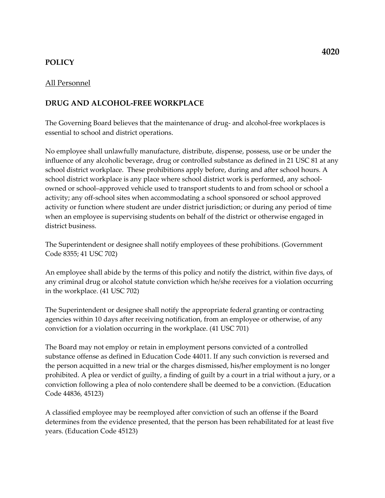# POLICY

### All Personnel

### DRUG AND ALCOHOL-FREE WORKPLACE

The Governing Board believes that the maintenance of drug- and alcohol-free workplaces is essential to school and district operations.

No employee shall unlawfully manufacture, distribute, dispense, possess, use or be under the influence of any alcoholic beverage, drug or controlled substance as defined in 21 USC 81 at any school district workplace. These prohibitions apply before, during and after school hours. A school district workplace is any place where school district work is performed, any schoolowned or school–approved vehicle used to transport students to and from school or school a activity; any off-school sites when accommodating a school sponsored or school approved activity or function where student are under district jurisdiction; or during any period of time when an employee is supervising students on behalf of the district or otherwise engaged in district business.

The Superintendent or designee shall notify employees of these prohibitions. (Government Code 8355; 41 USC 702)

An employee shall abide by the terms of this policy and notify the district, within five days, of any criminal drug or alcohol statute conviction which he/she receives for a violation occurring in the workplace. (41 USC 702)

The Superintendent or designee shall notify the appropriate federal granting or contracting agencies within 10 days after receiving notification, from an employee or otherwise, of any conviction for a violation occurring in the workplace. (41 USC 701)

The Board may not employ or retain in employment persons convicted of a controlled substance offense as defined in Education Code 44011. If any such conviction is reversed and the person acquitted in a new trial or the charges dismissed, his/her employment is no longer prohibited. A plea or verdict of guilty, a finding of guilt by a court in a trial without a jury, or a conviction following a plea of nolo contendere shall be deemed to be a conviction. (Education Code 44836, 45123)

A classified employee may be reemployed after conviction of such an offense if the Board determines from the evidence presented, that the person has been rehabilitated for at least five years. (Education Code 45123)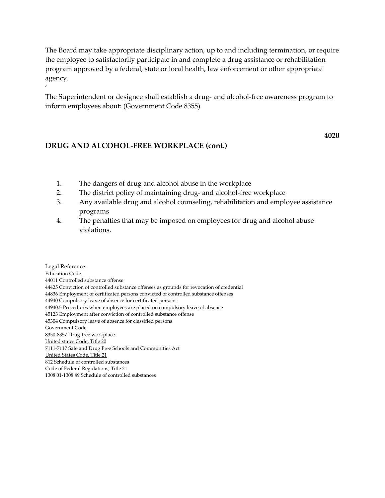The Board may take appropriate disciplinary action, up to and including termination, or require the employee to satisfactorily participate in and complete a drug assistance or rehabilitation program approved by a federal, state or local health, law enforcement or other appropriate agency.

The Superintendent or designee shall establish a drug- and alcohol-free awareness program to inform employees about: (Government Code 8355)

# DRUG AND ALCOHOL-FREE WORKPLACE (cont.)

 $^{\prime}$ 

4020

- 1. The dangers of drug and alcohol abuse in the workplace
- 2. The district policy of maintaining drug- and alcohol-free workplace
- 3. Any available drug and alcohol counseling, rehabilitation and employee assistance programs
- 4. The penalties that may be imposed on employees for drug and alcohol abuse violations.

Legal Reference: Education Code 44011 Controlled substance offense 44425 Conviction of controlled substance offenses as grounds for revocation of credential 44836 Employment of certificated persons convicted of controlled substance offenses 44940 Compulsory leave of absence for certificated persons 44940.5 Procedures when employees are placed on compulsory leave of absence 45123 Employment after conviction of controlled substance offense 45304 Compulsory leave of absence for classified persons Government Code 8350-8357 Drug-free workplace United states Code, Title 20 7111-7117 Safe and Drug Free Schools and Communities Act United States Code, Title 21 812 Schedule of controlled substances Code of Federal Regulations, Title 21 1308.01-1308.49 Schedule of controlled substances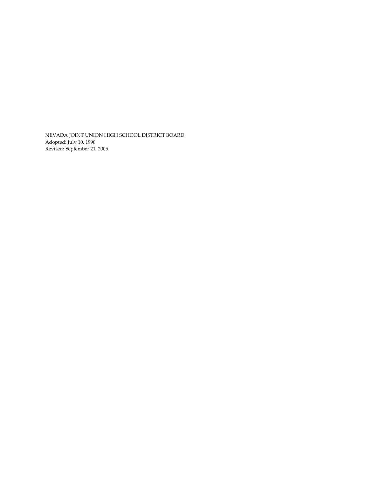NEVADA JOINT UNION HIGH SCHOOL DISTRICT BOARD Adopted: July 10, 1990 Revised: September 21, 2005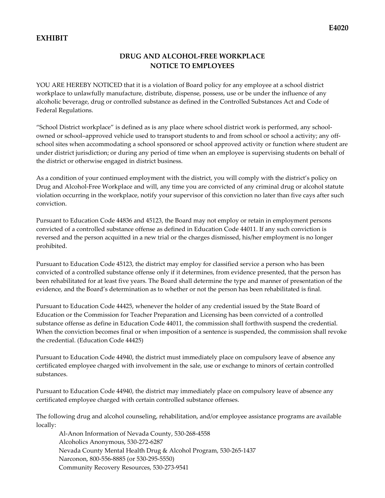# EXHIBIT

# DRUG AND ALCOHOL-FREE WORKPLACE NOTICE TO EMPLOYEES

YOU ARE HEREBY NOTICED that it is a violation of Board policy for any employee at a school district workplace to unlawfully manufacture, distribute, dispense, possess, use or be under the influence of any alcoholic beverage, drug or controlled substance as defined in the Controlled Substances Act and Code of Federal Regulations.

"School District workplace" is defined as is any place where school district work is performed, any schoolowned or school–approved vehicle used to transport students to and from school or school a activity; any offschool sites when accommodating a school sponsored or school approved activity or function where student are under district jurisdiction; or during any period of time when an employee is supervising students on behalf of the district or otherwise engaged in district business.

As a condition of your continued employment with the district, you will comply with the district's policy on Drug and Alcohol-Free Workplace and will, any time you are convicted of any criminal drug or alcohol statute violation occurring in the workplace, notify your supervisor of this conviction no later than five cays after such conviction.

Pursuant to Education Code 44836 and 45123, the Board may not employ or retain in employment persons convicted of a controlled substance offense as defined in Education Code 44011. If any such conviction is reversed and the person acquitted in a new trial or the charges dismissed, his/her employment is no longer prohibited.

Pursuant to Education Code 45123, the district may employ for classified service a person who has been convicted of a controlled substance offense only if it determines, from evidence presented, that the person has been rehabilitated for at least five years. The Board shall determine the type and manner of presentation of the evidence, and the Board's determination as to whether or not the person has been rehabilitated is final.

Pursuant to Education Code 44425, whenever the holder of any credential issued by the State Board of Education or the Commission for Teacher Preparation and Licensing has been convicted of a controlled substance offense as define in Education Code 44011, the commission shall forthwith suspend the credential. When the conviction becomes final or when imposition of a sentence is suspended, the commission shall revoke the credential. (Education Code 44425)

Pursuant to Education Code 44940, the district must immediately place on compulsory leave of absence any certificated employee charged with involvement in the sale, use or exchange to minors of certain controlled substances.

Pursuant to Education Code 44940, the district may immediately place on compulsory leave of absence any certificated employee charged with certain controlled substance offenses.

The following drug and alcohol counseling, rehabilitation, and/or employee assistance programs are available locally:

Al-Anon Information of Nevada County, 530-268-4558 Alcoholics Anonymous, 530-272-6287 Nevada County Mental Health Drug & Alcohol Program, 530-265-1437 Narconon, 800-556-8885 (or 530-295-5550) Community Recovery Resources, 530-273-9541